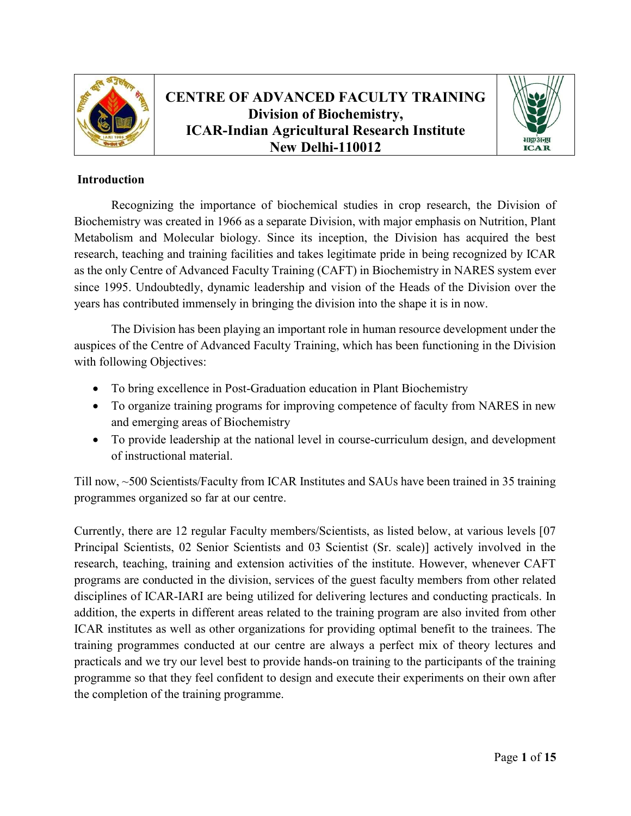

# CENTRE OF ADVANCED FACULTY TRAINING Division of Biochemistry, ICAR-Indian Agricultural Research Institute New Delhi-110012



### Introduction

Recognizing the importance of biochemical studies in crop research, the Division of Biochemistry was created in 1966 as a separate Division, with major emphasis on Nutrition, Plant Metabolism and Molecular biology. Since its inception, the Division has acquired the best research, teaching and training facilities and takes legitimate pride in being recognized by ICAR as the only Centre of Advanced Faculty Training (CAFT) in Biochemistry in NARES system ever since 1995. Undoubtedly, dynamic leadership and vision of the Heads of the Division over the years has contributed immensely in bringing the division into the shape it is in now.

The Division has been playing an important role in human resource development under the auspices of the Centre of Advanced Faculty Training, which has been functioning in the Division with following Objectives:

- To bring excellence in Post-Graduation education in Plant Biochemistry
- To organize training programs for improving competence of faculty from NARES in new and emerging areas of Biochemistry
- To provide leadership at the national level in course-curriculum design, and development of instructional material.

Till now, ~500 Scientists/Faculty from ICAR Institutes and SAUs have been trained in 35 training programmes organized so far at our centre.

Currently, there are 12 regular Faculty members/Scientists, as listed below, at various levels [07 Principal Scientists, 02 Senior Scientists and 03 Scientist (Sr. scale)] actively involved in the research, teaching, training and extension activities of the institute. However, whenever CAFT programs are conducted in the division, services of the guest faculty members from other related disciplines of ICAR-IARI are being utilized for delivering lectures and conducting practicals. In addition, the experts in different areas related to the training program are also invited from other ICAR institutes as well as other organizations for providing optimal benefit to the trainees. The training programmes conducted at our centre are always a perfect mix of theory lectures and practicals and we try our level best to provide hands-on training to the participants of the training programme so that they feel confident to design and execute their experiments on their own after the completion of the training programme.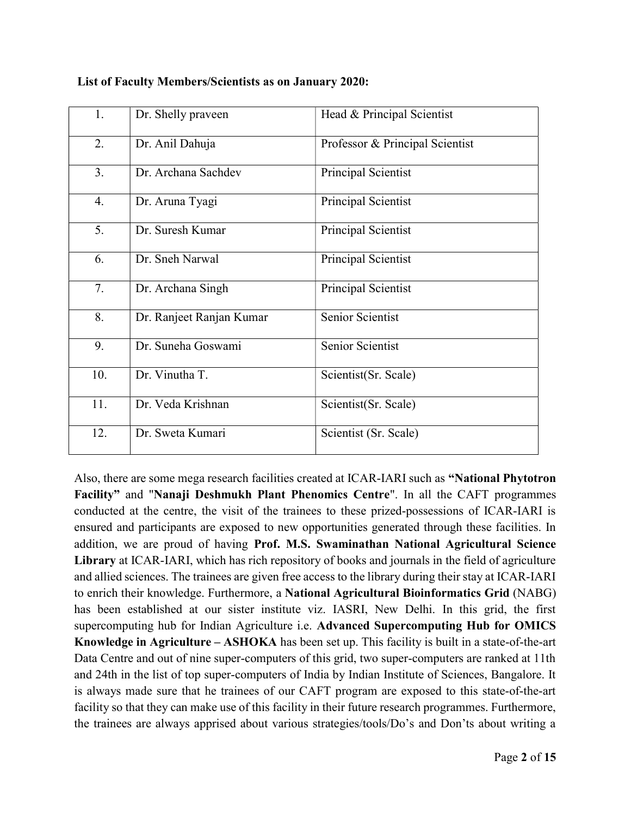| 1.  | Dr. Shelly praveen       | Head & Principal Scientist      |
|-----|--------------------------|---------------------------------|
| 2.  | Dr. Anil Dahuja          | Professor & Principal Scientist |
| 3.  | Dr. Archana Sachdev      | Principal Scientist             |
| 4.  | Dr. Aruna Tyagi          | Principal Scientist             |
| 5.  | Dr. Suresh Kumar         | Principal Scientist             |
| 6.  | Dr. Sneh Narwal          | Principal Scientist             |
| 7.  | Dr. Archana Singh        | Principal Scientist             |
| 8.  | Dr. Ranjeet Ranjan Kumar | Senior Scientist                |
| 9.  | Dr. Suneha Goswami       | Senior Scientist                |
| 10. | Dr. Vinutha T.           | Scientist(Sr. Scale)            |
| 11. | Dr. Veda Krishnan        | Scientist(Sr. Scale)            |
| 12. | Dr. Sweta Kumari         | Scientist (Sr. Scale)           |

#### List of Faculty Members/Scientists as on January 2020:

Also, there are some mega research facilities created at ICAR-IARI such as "National Phytotron Facility" and "Nanaji Deshmukh Plant Phenomics Centre". In all the CAFT programmes conducted at the centre, the visit of the trainees to these prized-possessions of ICAR-IARI is ensured and participants are exposed to new opportunities generated through these facilities. In addition, we are proud of having Prof. M.S. Swaminathan National Agricultural Science Library at ICAR-IARI, which has rich repository of books and journals in the field of agriculture and allied sciences. The trainees are given free access to the library during their stay at ICAR-IARI to enrich their knowledge. Furthermore, a National Agricultural Bioinformatics Grid (NABG) has been established at our sister institute viz. IASRI, New Delhi. In this grid, the first supercomputing hub for Indian Agriculture i.e. Advanced Supercomputing Hub for OMICS Knowledge in Agriculture – ASHOKA has been set up. This facility is built in a state-of-the-art Data Centre and out of nine super-computers of this grid, two super-computers are ranked at 11th and 24th in the list of top super-computers of India by Indian Institute of Sciences, Bangalore. It is always made sure that he trainees of our CAFT program are exposed to this state-of-the-art facility so that they can make use of this facility in their future research programmes. Furthermore, the trainees are always apprised about various strategies/tools/Do's and Don'ts about writing a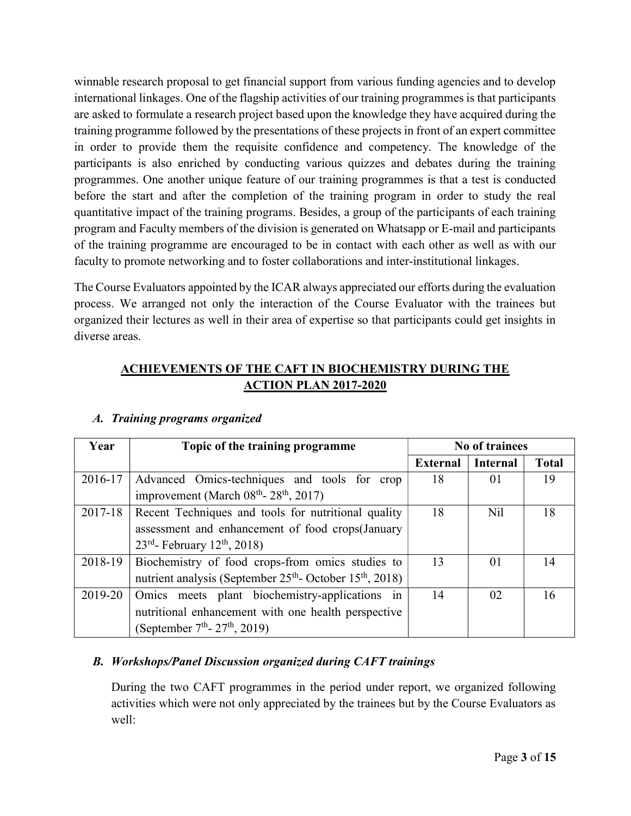winnable research proposal to get financial support from various funding agencies and to develop international linkages. One of the flagship activities of our training programmes is that participants are asked to formulate a research project based upon the knowledge they have acquired during the training programme followed by the presentations of these projects in front of an expert committee in order to provide them the requisite confidence and competency. The knowledge of the participants is also enriched by conducting various quizzes and debates during the training programmes. One another unique feature of our training programmes is that a test is conducted before the start and after the completion of the training program in order to study the real quantitative impact of the training programs. Besides, a group of the participants of each training program and Faculty members of the division is generated on Whatsapp or E-mail and participants of the training programme are encouraged to be in contact with each other as well as with our faculty to promote networking and to foster collaborations and inter-institutional linkages.

The Course Evaluators appointed by the ICAR always appreciated our efforts during the evaluation process. We arranged not only the interaction of the Course Evaluator with the trainees but organized their lectures as well in their area of expertise so that participants could get insights in diverse areas.

### ACHIEVEMENTS OF THE CAFT IN BIOCHEMISTRY DURING THE ACTION PLAN 2017-2020

| Year    | Topic of the training programme                                                  | No of trainees  |                 |              |
|---------|----------------------------------------------------------------------------------|-----------------|-----------------|--------------|
|         |                                                                                  | <b>External</b> | <b>Internal</b> | <b>Total</b> |
| 2016-17 | Advanced Omics-techniques and tools for crop                                     | 18              | 01              | 19           |
|         | improvement (March $08th$ - $28th$ , 2017)                                       |                 |                 |              |
| 2017-18 | Recent Techniques and tools for nutritional quality                              | 18              | N <sub>il</sub> | 18           |
|         | assessment and enhancement of food crops (January                                |                 |                 |              |
|         | $23^{rd}$ - February 12 <sup>th</sup> , 2018)                                    |                 |                 |              |
| 2018-19 | Biochemistry of food crops-from omics studies to                                 | 13              | 01              | 14           |
|         | nutrient analysis (September 25 <sup>th</sup> - October 15 <sup>th</sup> , 2018) |                 |                 |              |
| 2019-20 | Omics meets plant biochemistry-applications in                                   | 14              | 02              | 16           |
|         | nutritional enhancement with one health perspective                              |                 |                 |              |
|         | (September $7th$ - 27 <sup>th</sup> , 2019)                                      |                 |                 |              |

### A. Training programs organized

### B. Workshops/Panel Discussion organized during CAFT trainings

During the two CAFT programmes in the period under report, we organized following activities which were not only appreciated by the trainees but by the Course Evaluators as well: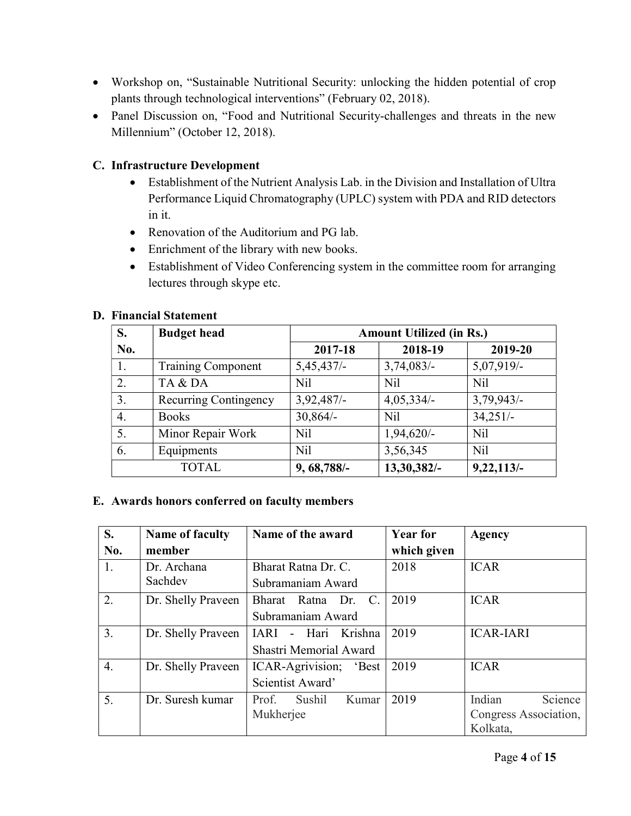- Workshop on, "Sustainable Nutritional Security: unlocking the hidden potential of crop plants through technological interventions" (February 02, 2018).
- Panel Discussion on, "Food and Nutritional Security-challenges and threats in the new Millennium" (October 12, 2018).

### C. Infrastructure Development

- Establishment of the Nutrient Analysis Lab. in the Division and Installation of Ultra Performance Liquid Chromatography (UPLC) system with PDA and RID detectors in it.
- Renovation of the Auditorium and PG lab.
- Enrichment of the library with new books.
- Establishment of Video Conferencing system in the committee room for arranging lectures through skype etc.

| S.  | <b>Budget head</b>    | <b>Amount Utilized (in Rs.)</b> |                 |                 |
|-----|-----------------------|---------------------------------|-----------------|-----------------|
| No. |                       | 2017-18                         | 2018-19         | 2019-20         |
|     | Training Component    | $5,45,437/-$                    | 3,74,083/       | 5,07,919/-      |
| 2.  | TA & DA               | Nil                             | N <sub>il</sub> | <b>Nil</b>      |
| 3.  | Recurring Contingency | 3,92,487/                       | $4,05,334/-$    | 3,79,943/       |
| 4.  | <b>Books</b>          | $30,864/-$                      | N <sub>il</sub> | $34,251/-$      |
| 5.  | Minor Repair Work     | Nil                             | $1,94,620/-$    | N <sub>il</sub> |
| 6.  | Equipments            | Nil                             | 3,56,345        | N <sub>il</sub> |
|     | <b>TOTAL</b>          | 9, 68, 788/-                    | 13,30,382/-     | 9,22,113/       |

#### D. Financial Statement

#### E. Awards honors conferred on faculty members

| S.<br>No. | <b>Name of faculty</b><br>member | Name of the award                                       | <b>Year for</b><br>which given | Agency                                                 |
|-----------|----------------------------------|---------------------------------------------------------|--------------------------------|--------------------------------------------------------|
| 1.        | Dr. Archana<br>Sachdev           | Bharat Ratna Dr. C.<br>Subramaniam Award                | 2018                           | <b>ICAR</b>                                            |
| 2.        | Dr. Shelly Praveen               | Bharat Ratna Dr.<br>C.<br>Subramaniam Award             | 2019                           | <b>ICAR</b>                                            |
| 3.        | Dr. Shelly Praveen               | - Hari Krishna<br><b>TARI</b><br>Shastri Memorial Award | 2019                           | <b>ICAR-IARI</b>                                       |
| 4.        | Dr. Shelly Praveen               | ICAR-Agrivision;<br>'Best<br>Scientist Award'           | 2019                           | <b>ICAR</b>                                            |
| 5.        | Dr. Suresh kumar                 | Prof.<br>Sushil<br>Kumar<br>Mukherjee                   | 2019                           | Indian<br>Science<br>Congress Association,<br>Kolkata, |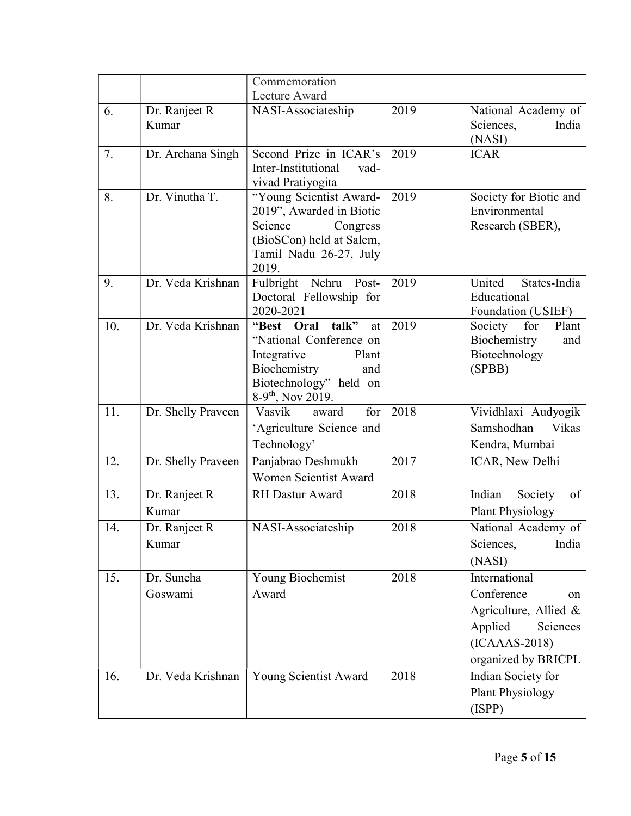|     |                        | Commemoration                                                                                                                                                    |      |                                                                                                                             |
|-----|------------------------|------------------------------------------------------------------------------------------------------------------------------------------------------------------|------|-----------------------------------------------------------------------------------------------------------------------------|
|     |                        | Lecture Award                                                                                                                                                    |      |                                                                                                                             |
| 6.  | Dr. Ranjeet R<br>Kumar | NASI-Associateship                                                                                                                                               | 2019 | National Academy of<br>Sciences,<br>India<br>(NASI)                                                                         |
| 7.  | Dr. Archana Singh      | Second Prize in ICAR's<br>Inter-Institutional<br>vad-<br>vivad Pratiyogita                                                                                       | 2019 | <b>ICAR</b>                                                                                                                 |
| 8.  | Dr. Vinutha T.         | "Young Scientist Award-<br>2019", Awarded in Biotic<br>Science<br>Congress<br>(BioSCon) held at Salem,<br>Tamil Nadu 26-27, July<br>2019.                        | 2019 | Society for Biotic and<br>Environmental<br>Research (SBER),                                                                 |
| 9.  | Dr. Veda Krishnan      | Fulbright Nehru<br>Post-<br>Doctoral Fellowship for<br>2020-2021                                                                                                 | 2019 | States-India<br>United<br>Educational<br>Foundation (USIEF)                                                                 |
| 10. | Dr. Veda Krishnan      | "Best Oral<br>talk"<br>at<br>"National Conference on<br>Integrative<br>Plant<br>Biochemistry<br>and<br>Biotechnology" held on<br>$8-9$ <sup>th</sup> , Nov 2019. | 2019 | Society<br>for<br>Plant<br>Biochemistry<br>and<br>Biotechnology<br>(SPBB)                                                   |
| 11. | Dr. Shelly Praveen     | Vasvik<br>for<br>award<br>'Agriculture Science and<br>Technology'                                                                                                | 2018 | Vividhlaxi Audyogik<br>Samshodhan<br>Vikas<br>Kendra, Mumbai                                                                |
| 12. | Dr. Shelly Praveen     | Panjabrao Deshmukh<br><b>Women Scientist Award</b>                                                                                                               | 2017 | ICAR, New Delhi                                                                                                             |
| 13. | Dr. Ranjeet R<br>Kumar | <b>RH Dastur Award</b>                                                                                                                                           | 2018 | Indian<br>of<br>Society<br><b>Plant Physiology</b>                                                                          |
| 14. | Dr. Ranjeet R<br>Kumar | NASI-Associateship                                                                                                                                               | 2018 | National Academy of<br>India<br>Sciences,<br>(NASI)                                                                         |
| 15. | Dr. Suneha<br>Goswami  | Young Biochemist<br>Award                                                                                                                                        | 2018 | International<br>Conference<br>on<br>Agriculture, Allied &<br>Applied<br>Sciences<br>$(ICAAAS-2018)$<br>organized by BRICPL |
| 16. | Dr. Veda Krishnan      | Young Scientist Award                                                                                                                                            | 2018 | Indian Society for<br>Plant Physiology<br>(ISPP)                                                                            |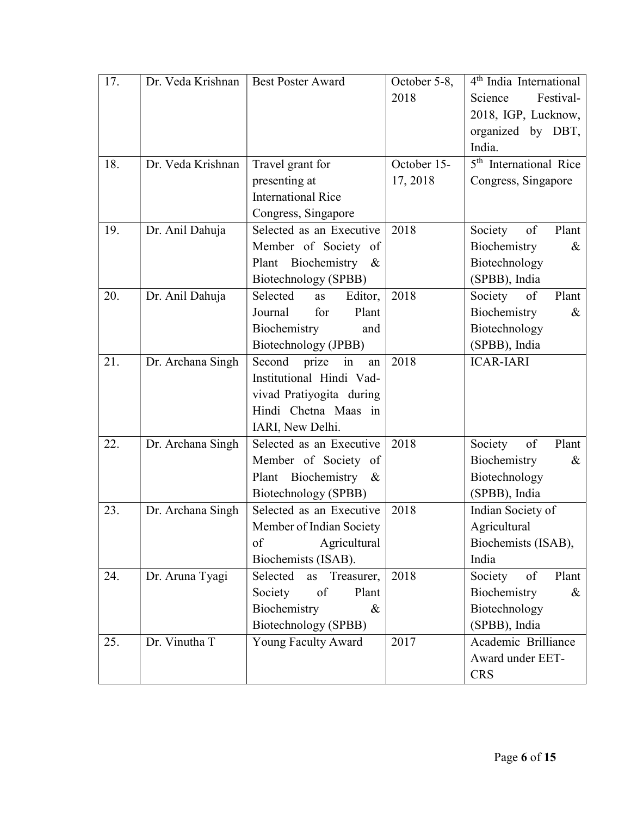| 17. | Dr. Veda Krishnan | <b>Best Poster Award</b>     | October 5-8, | 4 <sup>th</sup> India International |
|-----|-------------------|------------------------------|--------------|-------------------------------------|
|     |                   |                              | 2018         | Festival-<br>Science                |
|     |                   |                              |              | 2018, IGP, Lucknow,                 |
|     |                   |                              |              | organized by DBT,                   |
|     |                   |                              |              | India.                              |
| 18. | Dr. Veda Krishnan | Travel grant for             | October 15-  | 5 <sup>th</sup> International Rice  |
|     |                   | presenting at                | 17, 2018     | Congress, Singapore                 |
|     |                   | <b>International Rice</b>    |              |                                     |
|     |                   | Congress, Singapore          |              |                                     |
| 19. | Dr. Anil Dahuja   | Selected as an Executive     | 2018         | Society<br>of<br>Plant              |
|     |                   | Member of Society of         |              | Biochemistry<br>$\&$                |
|     |                   | Plant Biochemistry<br>$\&$   |              | Biotechnology                       |
|     |                   | Biotechnology (SPBB)         |              | (SPBB), India                       |
| 20. | Dr. Anil Dahuja   | Selected<br>Editor,<br>as    | 2018         | Society<br>of<br>Plant              |
|     |                   | Journal<br>Plant<br>for      |              | Biochemistry<br>$\&$                |
|     |                   | Biochemistry<br>and          |              | Biotechnology                       |
|     |                   | Biotechnology (JPBB)         |              | (SPBB), India                       |
| 21. | Dr. Archana Singh | Second<br>prize in<br>an     | 2018         | <b>ICAR-IARI</b>                    |
|     |                   | Institutional Hindi Vad-     |              |                                     |
|     |                   | vivad Pratiyogita during     |              |                                     |
|     |                   | Hindi Chetna Maas in         |              |                                     |
|     |                   | IARI, New Delhi.             |              |                                     |
| 22. | Dr. Archana Singh | Selected as an Executive     | 2018         | Society<br>of<br>Plant              |
|     |                   | Member of Society of         |              | Biochemistry<br>&                   |
|     |                   | Plant Biochemistry<br>$\&$   |              | Biotechnology                       |
|     |                   | Biotechnology (SPBB)         |              | (SPBB), India                       |
| 23. | Dr. Archana Singh | Selected as an Executive     | 2018         | Indian Society of                   |
|     |                   | Member of Indian Society     |              | Agricultural                        |
|     |                   | Agricultural<br>of           |              | Biochemists (ISAB),                 |
|     |                   | Biochemists (ISAB).          |              | India                               |
| 24. | Dr. Aruna Tyagi   | Selected<br>Treasurer,<br>as | 2018         | Society<br>Plant<br>of              |
|     |                   | Society<br>of<br>Plant       |              | Biochemistry<br>&                   |
|     |                   | Biochemistry<br>$\&$         |              | Biotechnology                       |
|     |                   | Biotechnology (SPBB)         |              | (SPBB), India                       |
| 25. | Dr. Vinutha T     | Young Faculty Award          | 2017         | Academic Brilliance                 |
|     |                   |                              |              | Award under EET-                    |
|     |                   |                              |              | <b>CRS</b>                          |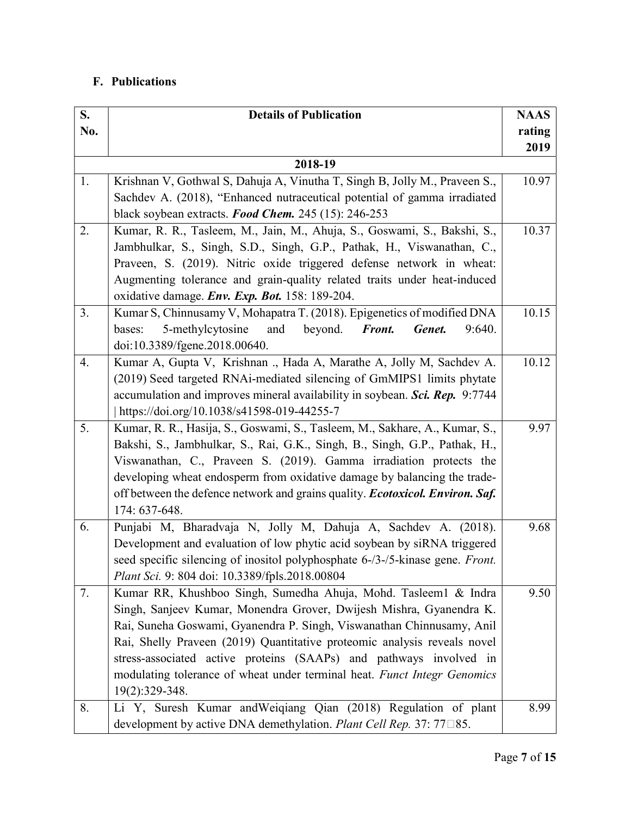## F. Publications

| S.  | <b>Details of Publication</b>                                                 | <b>NAAS</b> |
|-----|-------------------------------------------------------------------------------|-------------|
| No. |                                                                               | rating      |
|     |                                                                               | 2019        |
|     | 2018-19                                                                       |             |
| 1.  | Krishnan V, Gothwal S, Dahuja A, Vinutha T, Singh B, Jolly M., Praveen S.,    | 10.97       |
|     | Sachdev A. (2018), "Enhanced nutraceutical potential of gamma irradiated      |             |
|     | black soybean extracts. Food Chem. 245 (15): 246-253                          |             |
| 2.  | Kumar, R. R., Tasleem, M., Jain, M., Ahuja, S., Goswami, S., Bakshi, S.,      | 10.37       |
|     | Jambhulkar, S., Singh, S.D., Singh, G.P., Pathak, H., Viswanathan, C.,        |             |
|     | Praveen, S. (2019). Nitric oxide triggered defense network in wheat:          |             |
|     | Augmenting tolerance and grain-quality related traits under heat-induced      |             |
|     | oxidative damage. Env. Exp. Bot. 158: 189-204.                                |             |
| 3.  | Kumar S, Chinnusamy V, Mohapatra T. (2018). Epigenetics of modified DNA       | 10.15       |
|     | 5-methylcytosine<br>bases:<br>and<br>beyond.<br>Front.<br>Genet.<br>9:640.    |             |
|     | doi:10.3389/fgene.2018.00640.                                                 |             |
| 4.  | Kumar A, Gupta V, Krishnan ., Hada A, Marathe A, Jolly M, Sachdev A.          | 10.12       |
|     | (2019) Seed targeted RNAi-mediated silencing of GmMIPS1 limits phytate        |             |
|     | accumulation and improves mineral availability in soybean. Sci. Rep. 9:7744   |             |
|     | https://doi.org/10.1038/s41598-019-44255-7                                    |             |
| 5.  | Kumar, R. R., Hasija, S., Goswami, S., Tasleem, M., Sakhare, A., Kumar, S.,   | 9.97        |
|     | Bakshi, S., Jambhulkar, S., Rai, G.K., Singh, B., Singh, G.P., Pathak, H.,    |             |
|     | Viswanathan, C., Praveen S. (2019). Gamma irradiation protects the            |             |
|     | developing wheat endosperm from oxidative damage by balancing the trade-      |             |
|     | off between the defence network and grains quality. Ecotoxicol. Environ. Saf. |             |
|     | 174: 637-648.                                                                 |             |
| 6.  | Punjabi M, Bharadvaja N, Jolly M, Dahuja A, Sachdev A. (2018).                | 9.68        |
|     | Development and evaluation of low phytic acid soybean by siRNA triggered      |             |
|     | seed specific silencing of inositol polyphosphate 6-/3-/5-kinase gene. Front. |             |
|     | Plant Sci. 9: 804 doi: 10.3389/fpls.2018.00804                                |             |
| 7.  | Kumar RR, Khushboo Singh, Sumedha Ahuja, Mohd. Tasleem1 & Indra               | 9.50        |
|     | Singh, Sanjeev Kumar, Monendra Grover, Dwijesh Mishra, Gyanendra K.           |             |
|     | Rai, Suneha Goswami, Gyanendra P. Singh, Viswanathan Chinnusamy, Anil         |             |
|     | Rai, Shelly Praveen (2019) Quantitative proteomic analysis reveals novel      |             |
|     | stress-associated active proteins (SAAPs) and pathways involved in            |             |
|     | modulating tolerance of wheat under terminal heat. Funct Integr Genomics      |             |
|     | 19(2):329-348.                                                                |             |
| 8.  | Li Y, Suresh Kumar and Weiqiang Qian (2018) Regulation of plant               | 8.99        |
|     | development by active DNA demethylation. Plant Cell Rep. 37: 77□85.           |             |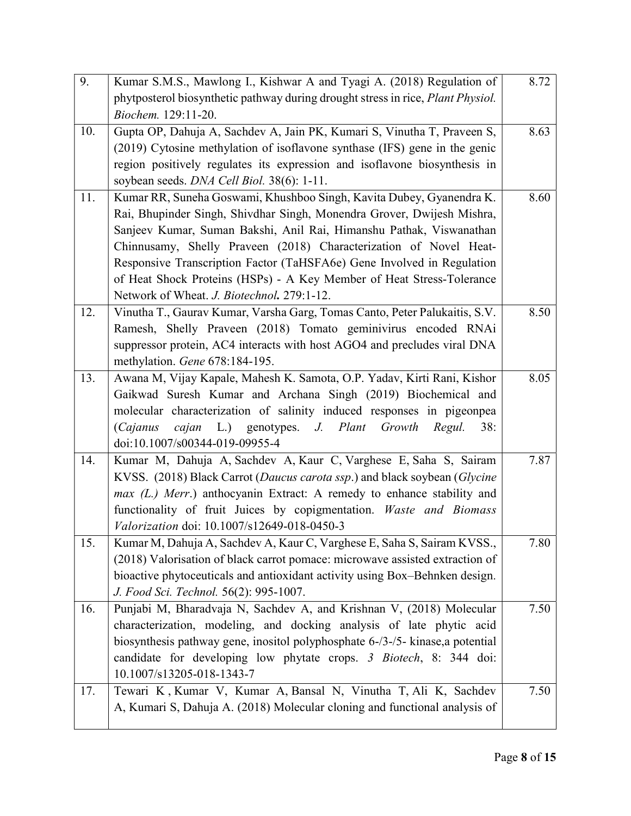| 9.  | Kumar S.M.S., Mawlong I., Kishwar A and Tyagi A. (2018) Regulation of           | 8.72 |
|-----|---------------------------------------------------------------------------------|------|
|     | phytposterol biosynthetic pathway during drought stress in rice, Plant Physiol. |      |
|     | Biochem. 129:11-20.                                                             |      |
| 10. | Gupta OP, Dahuja A, Sachdev A, Jain PK, Kumari S, Vinutha T, Praveen S,         | 8.63 |
|     | (2019) Cytosine methylation of isoflavone synthase (IFS) gene in the genic      |      |
|     | region positively regulates its expression and isoflavone biosynthesis in       |      |
|     | soybean seeds. DNA Cell Biol. 38(6): 1-11.                                      |      |
| 11. | Kumar RR, Suneha Goswami, Khushboo Singh, Kavita Dubey, Gyanendra K.            | 8.60 |
|     | Rai, Bhupinder Singh, Shivdhar Singh, Monendra Grover, Dwijesh Mishra,          |      |
|     | Sanjeev Kumar, Suman Bakshi, Anil Rai, Himanshu Pathak, Viswanathan             |      |
|     | Chinnusamy, Shelly Praveen (2018) Characterization of Novel Heat-               |      |
|     | Responsive Transcription Factor (TaHSFA6e) Gene Involved in Regulation          |      |
|     | of Heat Shock Proteins (HSPs) - A Key Member of Heat Stress-Tolerance           |      |
|     | Network of Wheat. J. Biotechnol. 279:1-12.                                      |      |
| 12. | Vinutha T., Gaurav Kumar, Varsha Garg, Tomas Canto, Peter Palukaitis, S.V.      | 8.50 |
|     | Ramesh, Shelly Praveen (2018) Tomato geminivirus encoded RNAi                   |      |
|     | suppressor protein, AC4 interacts with host AGO4 and precludes viral DNA        |      |
|     | methylation. Gene 678:184-195.                                                  |      |
| 13. | Awana M, Vijay Kapale, Mahesh K. Samota, O.P. Yadav, Kirti Rani, Kishor         | 8.05 |
|     | Gaikwad Suresh Kumar and Archana Singh (2019) Biochemical and                   |      |
|     | molecular characterization of salinity induced responses in pigeonpea           |      |
|     | L.) genotypes. J. Plant<br>Growth<br>(Cajanus<br>cajan<br>Regul.<br>38:         |      |
|     | doi:10.1007/s00344-019-09955-4                                                  |      |
| 14. | Kumar M, Dahuja A, Sachdev A, Kaur C, Varghese E, Saha S, Sairam                | 7.87 |
|     | KVSS. (2018) Black Carrot (Daucus carota ssp.) and black soybean (Glycine       |      |
|     | max (L.) Merr.) anthocyanin Extract: A remedy to enhance stability and          |      |
|     | functionality of fruit Juices by copigmentation. Waste and Biomass              |      |
|     | Valorization doi: 10.1007/s12649-018-0450-3                                     |      |
| 15. | Kumar M, Dahuja A, Sachdev A, Kaur C, Varghese E, Saha S, Sairam KVSS.,         | 7.80 |
|     | (2018) Valorisation of black carrot pomace: microwave assisted extraction of    |      |
|     | bioactive phytoceuticals and antioxidant activity using Box-Behnken design.     |      |
|     | J. Food Sci. Technol. 56(2): 995-1007.                                          |      |
| 16. | Punjabi M, Bharadvaja N, Sachdev A, and Krishnan V, (2018) Molecular            | 7.50 |
|     | characterization, modeling, and docking analysis of late phytic acid            |      |
|     | biosynthesis pathway gene, inositol polyphosphate 6-/3-/5- kinase, a potential  |      |
|     | candidate for developing low phytate crops. 3 Biotech, 8: 344 doi:              |      |
|     | 10.1007/s13205-018-1343-7                                                       |      |
| 17. | Tewari K, Kumar V, Kumar A, Bansal N, Vinutha T, Ali K, Sachdev                 | 7.50 |
|     | A, Kumari S, Dahuja A. (2018) Molecular cloning and functional analysis of      |      |
|     |                                                                                 |      |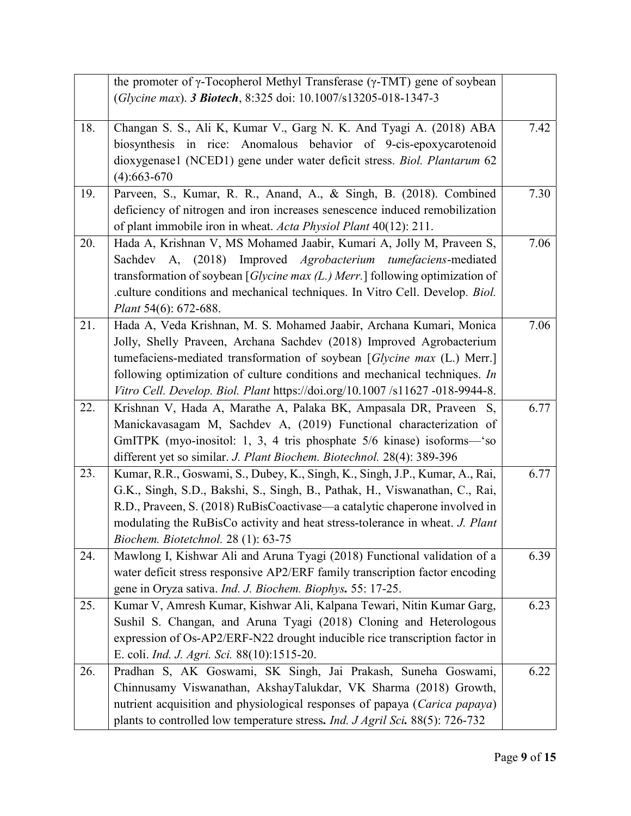|     | the promoter of $\gamma$ -Tocopherol Methyl Transferase ( $\gamma$ -TMT) gene of soybean |      |
|-----|------------------------------------------------------------------------------------------|------|
|     | (Glycine max). 3 Biotech, 8:325 doi: 10.1007/s13205-018-1347-3                           |      |
|     |                                                                                          |      |
| 18. | Changan S. S., Ali K, Kumar V., Garg N. K. And Tyagi A. (2018) ABA                       | 7.42 |
|     | biosynthesis in rice: Anomalous behavior of 9-cis-epoxycarotenoid                        |      |
|     | dioxygenase1 (NCED1) gene under water deficit stress. Biol. Plantarum 62                 |      |
|     | $(4): 663 - 670$                                                                         |      |
| 19. | Parveen, S., Kumar, R. R., Anand, A., & Singh, B. (2018). Combined                       | 7.30 |
|     | deficiency of nitrogen and iron increases senescence induced remobilization              |      |
|     | of plant immobile iron in wheat. Acta Physiol Plant 40(12): 211.                         |      |
| 20. | Hada A, Krishnan V, MS Mohamed Jaabir, Kumari A, Jolly M, Praveen S,                     | 7.06 |
|     | A, (2018) Improved Agrobacterium tumefaciens-mediated<br>Sachdev                         |      |
|     | transformation of soybean [ <i>Glycine max (L.) Merr.</i> ] following optimization of    |      |
|     | .culture conditions and mechanical techniques. In Vitro Cell. Develop. Biol.             |      |
|     | Plant 54(6): 672-688.                                                                    |      |
| 21. | Hada A, Veda Krishnan, M. S. Mohamed Jaabir, Archana Kumari, Monica                      | 7.06 |
|     | Jolly, Shelly Praveen, Archana Sachdev (2018) Improved Agrobacterium                     |      |
|     | tumefaciens-mediated transformation of soybean [Glycine max (L.) Merr.]                  |      |
|     | following optimization of culture conditions and mechanical techniques. In               |      |
|     | Vitro Cell. Develop. Biol. Plant https://doi.org/10.1007 /s11627 -018-9944-8.            |      |
| 22. | Krishnan V, Hada A, Marathe A, Palaka BK, Ampasala DR, Praveen S,                        | 6.77 |
|     | Manickavasagam M, Sachdev A, (2019) Functional characterization of                       |      |
|     | GmITPK (myo-inositol: 1, 3, 4 tris phosphate 5/6 kinase) isoforms-'so                    |      |
|     | different yet so similar. J. Plant Biochem. Biotechnol. 28(4): 389-396                   |      |
| 23. | Kumar, R.R., Goswami, S., Dubey, K., Singh, K., Singh, J.P., Kumar, A., Rai,             | 6.77 |
|     | G.K., Singh, S.D., Bakshi, S., Singh, B., Pathak, H., Viswanathan, C., Rai,              |      |
|     | R.D., Praveen, S. (2018) RuBisCoactivase—a catalytic chaperone involved in               |      |
|     | modulating the RuBisCo activity and heat stress-tolerance in wheat. J. Plant             |      |
|     | Biochem. Biotetchnol. 28 (1): 63-75                                                      |      |
| 24. | Mawlong I, Kishwar Ali and Aruna Tyagi (2018) Functional validation of a                 | 6.39 |
|     | water deficit stress responsive AP2/ERF family transcription factor encoding             |      |
|     | gene in Oryza sativa. Ind. J. Biochem. Biophys. 55: 17-25.                               |      |
| 25. | Kumar V, Amresh Kumar, Kishwar Ali, Kalpana Tewari, Nitin Kumar Garg,                    | 6.23 |
|     | Sushil S. Changan, and Aruna Tyagi (2018) Cloning and Heterologous                       |      |
|     | expression of Os-AP2/ERF-N22 drought inducible rice transcription factor in              |      |
|     | E. coli. Ind. J. Agri. Sci. 88(10):1515-20.                                              |      |
| 26. | Pradhan S, AK Goswami, SK Singh, Jai Prakash, Suneha Goswami,                            | 6.22 |
|     | Chinnusamy Viswanathan, AkshayTalukdar, VK Sharma (2018) Growth,                         |      |
|     |                                                                                          |      |
|     | nutrient acquisition and physiological responses of papaya (Carica papaya)               |      |
|     | plants to controlled low temperature stress. Ind. J Agril Sci. 88(5): 726-732            |      |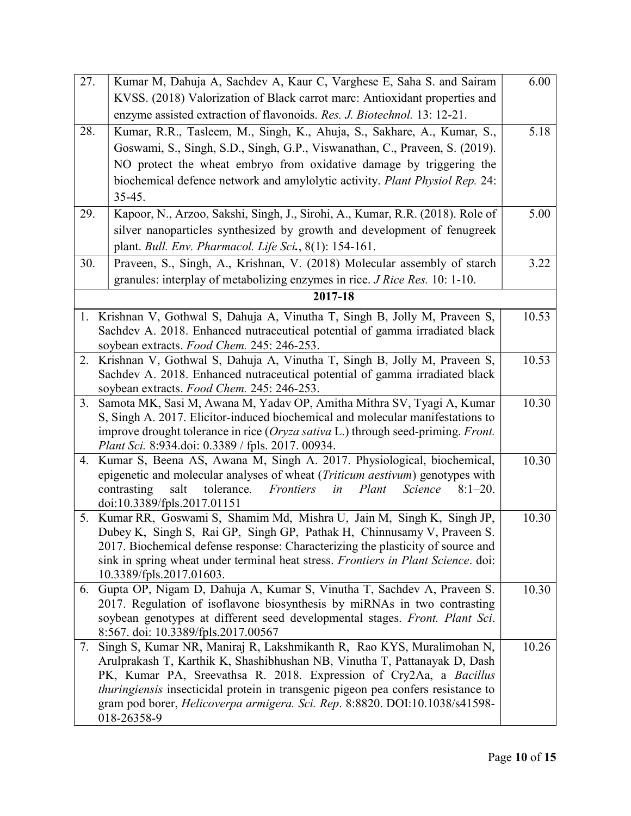| 27. | Kumar M, Dahuja A, Sachdev A, Kaur C, Varghese E, Saha S. and Sairam                                                                                     | 6.00  |
|-----|----------------------------------------------------------------------------------------------------------------------------------------------------------|-------|
|     | KVSS. (2018) Valorization of Black carrot marc: Antioxidant properties and                                                                               |       |
|     | enzyme assisted extraction of flavonoids. Res. J. Biotechnol. 13: 12-21.                                                                                 |       |
| 28. | Kumar, R.R., Tasleem, M., Singh, K., Ahuja, S., Sakhare, A., Kumar, S.,                                                                                  | 5.18  |
|     | Goswami, S., Singh, S.D., Singh, G.P., Viswanathan, C., Praveen, S. (2019).                                                                              |       |
|     | NO protect the wheat embryo from oxidative damage by triggering the                                                                                      |       |
|     | biochemical defence network and amylolytic activity. Plant Physiol Rep. 24:                                                                              |       |
|     | $35-45.$                                                                                                                                                 |       |
| 29. | Kapoor, N., Arzoo, Sakshi, Singh, J., Sirohi, A., Kumar, R.R. (2018). Role of                                                                            | 5.00  |
|     | silver nanoparticles synthesized by growth and development of fenugreek                                                                                  |       |
|     | plant. Bull. Env. Pharmacol. Life Sci., 8(1): 154-161.                                                                                                   |       |
| 30. | Praveen, S., Singh, A., Krishnan, V. (2018) Molecular assembly of starch                                                                                 | 3.22  |
|     | granules: interplay of metabolizing enzymes in rice. J Rice Res. 10: 1-10.                                                                               |       |
|     | 2017-18                                                                                                                                                  |       |
|     | 1. Krishnan V, Gothwal S, Dahuja A, Vinutha T, Singh B, Jolly M, Praveen S,                                                                              | 10.53 |
|     | Sachdev A. 2018. Enhanced nutraceutical potential of gamma irradiated black                                                                              |       |
|     | soybean extracts. Food Chem. 245: 246-253.                                                                                                               |       |
| 2.  | Krishnan V, Gothwal S, Dahuja A, Vinutha T, Singh B, Jolly M, Praveen S,                                                                                 | 10.53 |
|     | Sachdev A. 2018. Enhanced nutraceutical potential of gamma irradiated black                                                                              |       |
|     | soybean extracts. Food Chem. 245: 246-253.                                                                                                               |       |
| 3.  | Samota MK, Sasi M, Awana M, Yadav OP, Amitha Mithra SV, Tyagi A, Kumar<br>S, Singh A. 2017. Elicitor-induced biochemical and molecular manifestations to | 10.30 |
|     | improve drought tolerance in rice (Oryza sativa L.) through seed-priming. Front.                                                                         |       |
|     | <i>Plant Sci.</i> 8:934.doi: 0.3389 / fpls. 2017. 00934.                                                                                                 |       |
| 4.  | Kumar S, Beena AS, Awana M, Singh A. 2017. Physiological, biochemical,                                                                                   | 10.30 |
|     | epigenetic and molecular analyses of wheat ( <i>Triticum aestivum</i> ) genotypes with                                                                   |       |
|     | contrasting<br>salt<br>tolerance.<br>Frontiers<br>Plant<br>Science<br>in<br>$8:1-20.$                                                                    |       |
|     | doi:10.3389/fpls.2017.01151                                                                                                                              |       |
| 5.  | Kumar RR, Goswami S, Shamim Md, Mishra U, Jain M, Singh K, Singh JP,                                                                                     | 10.30 |
|     | Dubey K, Singh S, Rai GP, Singh GP, Pathak H, Chinnusamy V, Praveen S<br>2017. Biochemical defense response: Characterizing the plasticity of source and |       |
|     | sink in spring wheat under terminal heat stress. Frontiers in Plant Science. doi:                                                                        |       |
|     | 10.3389/fpls.2017.01603.                                                                                                                                 |       |
| 6.  | Gupta OP, Nigam D, Dahuja A, Kumar S, Vinutha T, Sachdev A, Praveen S.                                                                                   | 10.30 |
|     | 2017. Regulation of isoflavone biosynthesis by miRNAs in two contrasting                                                                                 |       |
|     | soybean genotypes at different seed developmental stages. Front. Plant Sci.                                                                              |       |
|     | 8:567. doi: 10.3389/fpls.2017.00567                                                                                                                      |       |
| 7.  | Singh S, Kumar NR, Maniraj R, Lakshmikanth R, Rao KYS, Muralimohan N,<br>Arulprakash T, Karthik K, Shashibhushan NB, Vinutha T, Pattanayak D, Dash       | 10.26 |
|     | PK, Kumar PA, Sreevathsa R. 2018. Expression of Cry2Aa, a Bacillus                                                                                       |       |
|     | <i>thuringiensis</i> insecticidal protein in transgenic pigeon pea confers resistance to                                                                 |       |
|     | gram pod borer, Helicoverpa armigera. Sci. Rep. 8:8820. DOI:10.1038/s41598-                                                                              |       |
|     | 018-26358-9                                                                                                                                              |       |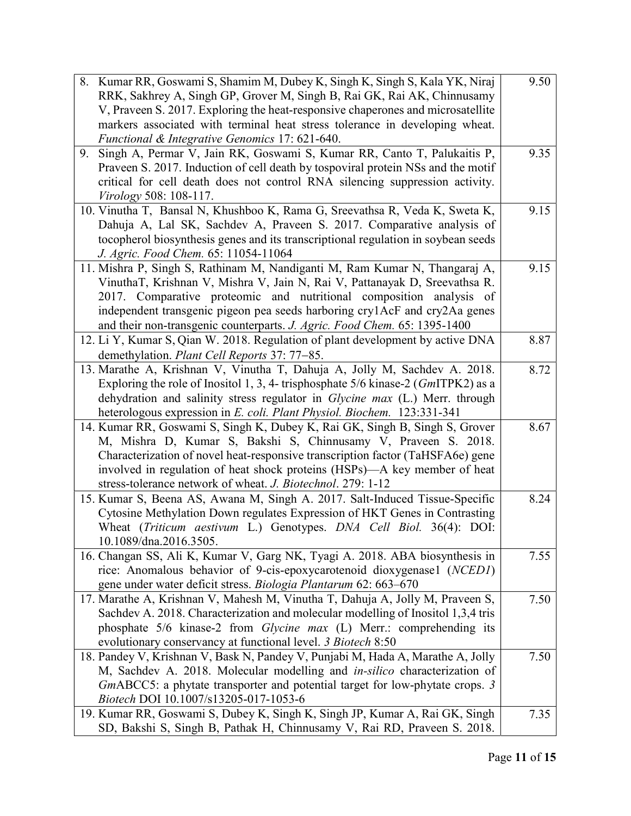| 8. Kumar RR, Goswami S, Shamim M, Dubey K, Singh K, Singh S, Kala YK, Niraj             | 9.50 |
|-----------------------------------------------------------------------------------------|------|
| RRK, Sakhrey A, Singh GP, Grover M, Singh B, Rai GK, Rai AK, Chinnusamy                 |      |
| V, Praveen S. 2017. Exploring the heat-responsive chaperones and microsatellite         |      |
| markers associated with terminal heat stress tolerance in developing wheat.             |      |
| Functional & Integrative Genomics 17: 621-640.                                          |      |
| Singh A, Permar V, Jain RK, Goswami S, Kumar RR, Canto T, Palukaitis P,<br>9.           | 9.35 |
| Praveen S. 2017. Induction of cell death by tospoviral protein NSs and the motif        |      |
| critical for cell death does not control RNA silencing suppression activity.            |      |
| Virology 508: 108-117.                                                                  |      |
| 10. Vinutha T, Bansal N, Khushboo K, Rama G, Sreevathsa R, Veda K, Sweta K,             | 9.15 |
| Dahuja A, Lal SK, Sachdev A, Praveen S. 2017. Comparative analysis of                   |      |
| tocopherol biosynthesis genes and its transcriptional regulation in soybean seeds       |      |
| J. Agric. Food Chem. 65: 11054-11064                                                    |      |
| 11. Mishra P, Singh S, Rathinam M, Nandiganti M, Ram Kumar N, Thangaraj A,              | 9.15 |
| VinuthaT, Krishnan V, Mishra V, Jain N, Rai V, Pattanayak D, Sreevathsa R.              |      |
| 2017. Comparative proteomic and nutritional composition analysis of                     |      |
| independent transgenic pigeon pea seeds harboring cry1AcF and cry2Aa genes              |      |
| and their non-transgenic counterparts. J. Agric. Food Chem. 65: 1395-1400               |      |
| 12. Li Y, Kumar S, Qian W. 2018. Regulation of plant development by active DNA          | 8.87 |
| demethylation. Plant Cell Reports 37: 77-85.                                            |      |
| 13. Marathe A, Krishnan V, Vinutha T, Dahuja A, Jolly M, Sachdev A. 2018.               | 8.72 |
| Exploring the role of Inositol 1, 3, 4- trisphosphate $5/6$ kinase-2 ( $Gm$ ITPK2) as a |      |
| dehydration and salinity stress regulator in Glycine max (L.) Merr. through             |      |
| heterologous expression in E. coli. Plant Physiol. Biochem. 123:331-341                 |      |
| 14. Kumar RR, Goswami S, Singh K, Dubey K, Rai GK, Singh B, Singh S, Grover             | 8.67 |
| M, Mishra D, Kumar S, Bakshi S, Chinnusamy V, Praveen S. 2018.                          |      |
| Characterization of novel heat-responsive transcription factor (TaHSFA6e) gene          |      |
| involved in regulation of heat shock proteins (HSPs)—A key member of heat               |      |
| stress-tolerance network of wheat. J. Biotechnol. 279: 1-12                             |      |
| 15. Kumar S, Beena AS, Awana M, Singh A. 2017. Salt-Induced Tissue-Specific             | 8.24 |
| Cytosine Methylation Down regulates Expression of HKT Genes in Contrasting              |      |
| Wheat (Triticum aestivum L.) Genotypes. DNA Cell Biol. 36(4): DOI:                      |      |
| 10.1089/dna.2016.3505.                                                                  |      |
| 16. Changan SS, Ali K, Kumar V, Garg NK, Tyagi A. 2018. ABA biosynthesis in             | 7.55 |
| rice: Anomalous behavior of 9-cis-epoxycarotenoid dioxygenase1 (NCED1)                  |      |
| gene under water deficit stress. Biologia Plantarum 62: 663-670                         |      |
| 17. Marathe A, Krishnan V, Mahesh M, Vinutha T, Dahuja A, Jolly M, Praveen S,           | 7.50 |
| Sachdev A. 2018. Characterization and molecular modelling of Inositol 1,3,4 tris        |      |
| phosphate 5/6 kinase-2 from Glycine max (L) Merr.: comprehending its                    |      |
| evolutionary conservancy at functional level. 3 Biotech 8:50                            |      |
| 18. Pandey V, Krishnan V, Bask N, Pandey V, Punjabi M, Hada A, Marathe A, Jolly         | 7.50 |
| M, Sachdev A. 2018. Molecular modelling and in-silico characterization of               |      |
| GmABCC5: a phytate transporter and potential target for low-phytate crops. 3            |      |
| Biotech DOI 10.1007/s13205-017-1053-6                                                   |      |
| 19. Kumar RR, Goswami S, Dubey K, Singh K, Singh JP, Kumar A, Rai GK, Singh             | 7.35 |
| SD, Bakshi S, Singh B, Pathak H, Chinnusamy V, Rai RD, Praveen S. 2018.                 |      |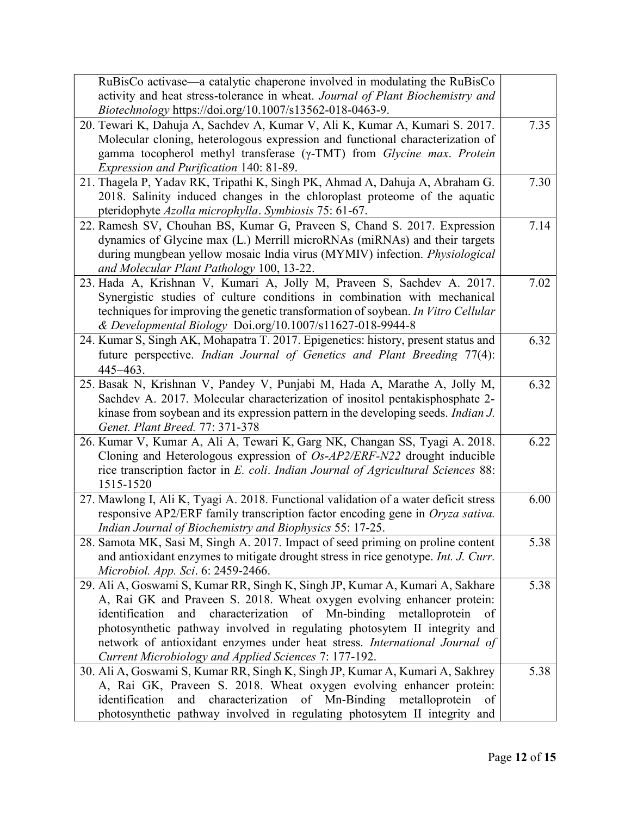| RuBisCo activase—a catalytic chaperone involved in modulating the RuBisCo                |      |
|------------------------------------------------------------------------------------------|------|
| activity and heat stress-tolerance in wheat. Journal of Plant Biochemistry and           |      |
| <i>Biotechnology</i> https://doi.org/10.1007/s13562-018-0463-9.                          |      |
| 20. Tewari K, Dahuja A, Sachdev A, Kumar V, Ali K, Kumar A, Kumari S. 2017.              | 7.35 |
| Molecular cloning, heterologous expression and functional characterization of            |      |
| gamma tocopherol methyl transferase (γ-TMT) from Glycine max. Protein                    |      |
| Expression and Purification 140: 81-89.                                                  |      |
| 21. Thagela P, Yadav RK, Tripathi K, Singh PK, Ahmad A, Dahuja A, Abraham G.             | 7.30 |
| 2018. Salinity induced changes in the chloroplast proteome of the aquatic                |      |
| pteridophyte Azolla microphylla. Symbiosis 75: 61-67.                                    |      |
| 22. Ramesh SV, Chouhan BS, Kumar G, Praveen S, Chand S. 2017. Expression                 | 7.14 |
| dynamics of Glycine max (L.) Merrill microRNAs (miRNAs) and their targets                |      |
| during mungbean yellow mosaic India virus (MYMIV) infection. Physiological               |      |
| and Molecular Plant Pathology 100, 13-22.                                                |      |
| 23. Hada A, Krishnan V, Kumari A, Jolly M, Praveen S, Sachdev A. 2017.                   | 7.02 |
| Synergistic studies of culture conditions in combination with mechanical                 |      |
| techniques for improving the genetic transformation of soybean. In Vitro Cellular        |      |
| & Developmental Biology Doi.org/10.1007/s11627-018-9944-8                                |      |
| 24. Kumar S, Singh AK, Mohapatra T. 2017. Epigenetics: history, present status and       | 6.32 |
| future perspective. Indian Journal of Genetics and Plant Breeding 77(4):                 |      |
| 445-463.                                                                                 |      |
| 25. Basak N, Krishnan V, Pandey V, Punjabi M, Hada A, Marathe A, Jolly M,                | 6.32 |
| Sachdev A. 2017. Molecular characterization of inositol pentakisphosphate 2-             |      |
| kinase from soybean and its expression pattern in the developing seeds. <i>Indian J.</i> |      |
| Genet. Plant Breed. 77: 371-378                                                          |      |
| 26. Kumar V, Kumar A, Ali A, Tewari K, Garg NK, Changan SS, Tyagi A. 2018.               | 6.22 |
| Cloning and Heterologous expression of Os-AP2/ERF-N22 drought inducible                  |      |
| rice transcription factor in E. coli. Indian Journal of Agricultural Sciences 88:        |      |
| 1515-1520                                                                                |      |
| 27. Mawlong I, Ali K, Tyagi A. 2018. Functional validation of a water deficit stress     | 6.00 |
| responsive AP2/ERF family transcription factor encoding gene in Oryza sativa.            |      |
| Indian Journal of Biochemistry and Biophysics 55: 17-25.                                 |      |
| 28. Samota MK, Sasi M, Singh A. 2017. Impact of seed priming on proline content          | 5.38 |
| and antioxidant enzymes to mitigate drought stress in rice genotype. Int. J. Curr.       |      |
| Microbiol. App. Sci. 6: 2459-2466.                                                       |      |
| 29. Ali A, Goswami S, Kumar RR, Singh K, Singh JP, Kumar A, Kumari A, Sakhare            | 5.38 |
| A, Rai GK and Praveen S. 2018. Wheat oxygen evolving enhancer protein:                   |      |
| characterization<br>Mn-binding<br>identification<br>and<br>of<br>metalloprotein<br>of    |      |
| photosynthetic pathway involved in regulating photosytem II integrity and                |      |
| network of antioxidant enzymes under heat stress. International Journal of               |      |
| Current Microbiology and Applied Sciences 7: 177-192.                                    |      |
| 30. Ali A, Goswami S, Kumar RR, Singh K, Singh JP, Kumar A, Kumari A, Sakhrey            | 5.38 |
| A, Rai GK, Praveen S. 2018. Wheat oxygen evolving enhancer protein:                      |      |
| characterization of Mn-Binding<br>metalloprotein<br>identification<br>and<br>of          |      |
| photosynthetic pathway involved in regulating photosytem II integrity and                |      |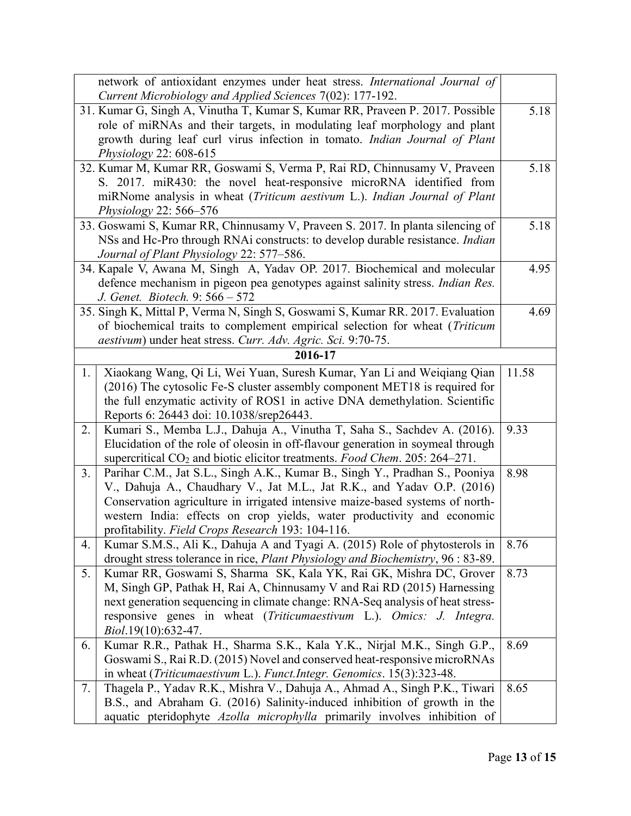|                                                                                                           | network of antioxidant enzymes under heat stress. International Journal of<br>Current Microbiology and Applied Sciences 7(02): 177-192. |       |
|-----------------------------------------------------------------------------------------------------------|-----------------------------------------------------------------------------------------------------------------------------------------|-------|
| 31. Kumar G, Singh A, Vinutha T, Kumar S, Kumar RR, Praveen P. 2017. Possible                             |                                                                                                                                         |       |
|                                                                                                           | role of miRNAs and their targets, in modulating leaf morphology and plant                                                               | 5.18  |
|                                                                                                           | growth during leaf curl virus infection in tomato. Indian Journal of Plant                                                              |       |
|                                                                                                           |                                                                                                                                         |       |
| <i>Physiology</i> 22: 608-615<br>32. Kumar M, Kumar RR, Goswami S, Verma P, Rai RD, Chinnusamy V, Praveen |                                                                                                                                         |       |
|                                                                                                           | S. 2017. miR430: the novel heat-responsive microRNA identified from                                                                     | 5.18  |
|                                                                                                           | miRNome analysis in wheat (Triticum aestivum L.). Indian Journal of Plant                                                               |       |
|                                                                                                           | Physiology 22: 566–576                                                                                                                  |       |
|                                                                                                           | 33. Goswami S, Kumar RR, Chinnusamy V, Praveen S. 2017. In planta silencing of                                                          | 5.18  |
|                                                                                                           | NSs and Hc-Pro through RNAi constructs: to develop durable resistance. Indian                                                           |       |
|                                                                                                           | Journal of Plant Physiology 22: 577-586.                                                                                                |       |
|                                                                                                           | 34. Kapale V, Awana M, Singh A, Yadav OP. 2017. Biochemical and molecular                                                               | 4.95  |
|                                                                                                           | defence mechanism in pigeon pea genotypes against salinity stress. <i>Indian Res.</i>                                                   |       |
|                                                                                                           | J. Genet. Biotech. 9: 566 - 572                                                                                                         |       |
|                                                                                                           | 35. Singh K, Mittal P, Verma N, Singh S, Goswami S, Kumar RR. 2017. Evaluation                                                          | 4.69  |
|                                                                                                           | of biochemical traits to complement empirical selection for wheat (Triticum                                                             |       |
|                                                                                                           | aestivum) under heat stress. Curr. Adv. Agric. Sci. 9:70-75.                                                                            |       |
|                                                                                                           | 2016-17                                                                                                                                 |       |
| 1.                                                                                                        | Xiaokang Wang, Qi Li, Wei Yuan, Suresh Kumar, Yan Li and Weiqiang Qian                                                                  | 11.58 |
|                                                                                                           | (2016) The cytosolic Fe-S cluster assembly component MET18 is required for                                                              |       |
|                                                                                                           | the full enzymatic activity of ROS1 in active DNA demethylation. Scientific                                                             |       |
|                                                                                                           | Reports 6: 26443 doi: 10.1038/srep26443.                                                                                                |       |
| 2.                                                                                                        | Kumari S., Memba L.J., Dahuja A., Vinutha T, Saha S., Sachdev A. (2016).                                                                | 9.33  |
|                                                                                                           | Elucidation of the role of oleosin in off-flavour generation in soymeal through                                                         |       |
|                                                                                                           | supercritical $CO2$ and biotic elicitor treatments. Food Chem. 205: 264–271.                                                            |       |
| 3.                                                                                                        | Parihar C.M., Jat S.L., Singh A.K., Kumar B., Singh Y., Pradhan S., Pooniya                                                             | 8.98  |
|                                                                                                           | V., Dahuja A., Chaudhary V., Jat M.L., Jat R.K., and Yadav O.P. (2016)                                                                  |       |
|                                                                                                           | Conservation agriculture in irrigated intensive maize-based systems of north-                                                           |       |
|                                                                                                           | western India: effects on crop yields, water productivity and economic                                                                  |       |
|                                                                                                           | profitability. Field Crops Research 193: 104-116.                                                                                       |       |
| 4.                                                                                                        | Kumar S.M.S., Ali K., Dahuja A and Tyagi A. (2015) Role of phytosterols in                                                              | 8.76  |
|                                                                                                           | drought stress tolerance in rice, Plant Physiology and Biochemistry, 96 : 83-89.                                                        |       |
| 5.                                                                                                        | Kumar RR, Goswami S, Sharma SK, Kala YK, Rai GK, Mishra DC, Grover                                                                      | 8.73  |
|                                                                                                           | M, Singh GP, Pathak H, Rai A, Chinnusamy V and Rai RD (2015) Harnessing                                                                 |       |
|                                                                                                           | next generation sequencing in climate change: RNA-Seq analysis of heat stress-                                                          |       |
|                                                                                                           | responsive genes in wheat (Triticumaestivum L.). Omics: J. Integra.                                                                     |       |
|                                                                                                           | Biol.19(10):632-47.                                                                                                                     |       |
| 6.                                                                                                        | Kumar R.R., Pathak H., Sharma S.K., Kala Y.K., Nirjal M.K., Singh G.P.,                                                                 | 8.69  |
|                                                                                                           | Goswami S., Rai R.D. (2015) Novel and conserved heat-responsive microRNAs                                                               |       |
|                                                                                                           | in wheat (Triticumaestivum L.). Funct.Integr. Genomics. 15(3):323-48.                                                                   |       |
| 7.                                                                                                        | Thagela P., Yadav R.K., Mishra V., Dahuja A., Ahmad A., Singh P.K., Tiwari                                                              | 8.65  |
|                                                                                                           | B.S., and Abraham G. (2016) Salinity-induced inhibition of growth in the                                                                |       |
|                                                                                                           | aquatic pteridophyte Azolla microphylla primarily involves inhibition of                                                                |       |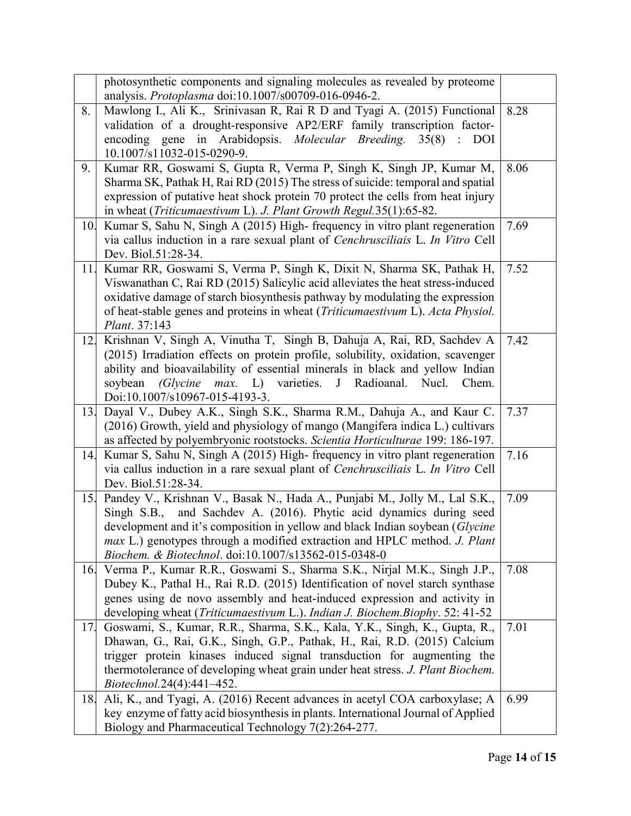|     | photosynthetic components and signaling molecules as revealed by proteome<br>analysis. Protoplasma doi:10.1007/s00709-016-0946-2.        |      |
|-----|------------------------------------------------------------------------------------------------------------------------------------------|------|
| 8.  | Mawlong I., Ali K., Srinivasan R, Rai R D and Tyagi A. (2015) Functional                                                                 | 8.28 |
|     | validation of a drought-responsive AP2/ERF family transcription factor-                                                                  |      |
|     | encoding gene in Arabidopsis. Molecular Breeding. 35(8) : DOI                                                                            |      |
|     | 10.1007/s11032-015-0290-9.                                                                                                               |      |
| 9.  | Kumar RR, Goswami S, Gupta R, Verma P, Singh K, Singh JP, Kumar M,                                                                       | 8.06 |
|     | Sharma SK, Pathak H, Rai RD (2015) The stress of suicide: temporal and spatial                                                           |      |
|     | expression of putative heat shock protein 70 protect the cells from heat injury                                                          |      |
|     | in wheat (Triticumaestivum L). J. Plant Growth Regul.35(1):65-82.                                                                        |      |
| 10. | Kumar S, Sahu N, Singh A (2015) High-frequency in vitro plant regeneration                                                               | 7.69 |
|     | via callus induction in a rare sexual plant of Cenchrusciliais L. In Vitro Cell                                                          |      |
|     | Dev. Biol.51:28-34.                                                                                                                      |      |
| 11. | Kumar RR, Goswami S, Verma P, Singh K, Dixit N, Sharma SK, Pathak H,                                                                     | 7.52 |
|     | Viswanathan C, Rai RD (2015) Salicylic acid alleviates the heat stress-induced                                                           |      |
|     | oxidative damage of starch biosynthesis pathway by modulating the expression                                                             |      |
|     | of heat-stable genes and proteins in wheat (Triticumaestivum L). Acta Physiol.                                                           |      |
|     | Plant. 37:143                                                                                                                            |      |
| 12. | Krishnan V, Singh A, Vinutha T, Singh B, Dahuja A, Rai, RD, Sachdev A                                                                    | 7.42 |
|     | (2015) Irradiation effects on protein profile, solubility, oxidation, scavenger                                                          |      |
|     | ability and bioavailability of essential minerals in black and yellow Indian                                                             |      |
|     | J<br>soybean<br>(Glycine<br>max.<br>$L$ )<br>varieties.<br>Radioanal.<br>Nucl.<br>Chem.                                                  |      |
|     | Doi:10.1007/s10967-015-4193-3.                                                                                                           |      |
|     |                                                                                                                                          |      |
| 13. | Dayal V., Dubey A.K., Singh S.K., Sharma R.M., Dahuja A., and Kaur C.                                                                    | 7.37 |
|     | (2016) Growth, yield and physiology of mango (Mangifera indica L.) cultivars                                                             |      |
|     | as affected by polyembryonic rootstocks. Scientia Horticulturae 199: 186-197.                                                            |      |
| 14. | Kumar S, Sahu N, Singh A (2015) High-frequency in vitro plant regeneration                                                               | 7.16 |
|     | via callus induction in a rare sexual plant of Cenchrusciliais L. In Vitro Cell                                                          |      |
|     | Dev. Biol.51:28-34.                                                                                                                      |      |
| 15. | Pandey V., Krishnan V., Basak N., Hada A., Punjabi M., Jolly M., Lal S.K.,                                                               | 7.09 |
|     | and Sachdev A. (2016). Phytic acid dynamics during seed<br>$Singh$ S.B.,                                                                 |      |
|     | development and it's composition in yellow and black Indian soybean (Glycine                                                             |      |
|     | <i>max</i> L.) genotypes through a modified extraction and HPLC method. <i>J. Plant</i>                                                  |      |
|     | Biochem. & Biotechnol. doi:10.1007/s13562-015-0348-0                                                                                     |      |
| 16. | Verma P., Kumar R.R., Goswami S., Sharma S.K., Nirjal M.K., Singh J.P.,                                                                  | 7.08 |
|     | Dubey K., Pathal H., Rai R.D. (2015) Identification of novel starch synthase                                                             |      |
|     | genes using de novo assembly and heat-induced expression and activity in                                                                 |      |
|     | developing wheat (Triticumaestivum L.). Indian J. Biochem.Biophy. 52: 41-52                                                              |      |
| 17. | Goswami, S., Kumar, R.R., Sharma, S.K., Kala, Y.K., Singh, K., Gupta, R.,                                                                | 7.01 |
|     | Dhawan, G., Rai, G.K., Singh, G.P., Pathak, H., Rai, R.D. (2015) Calcium                                                                 |      |
|     | trigger protein kinases induced signal transduction for augmenting the                                                                   |      |
|     | thermotolerance of developing wheat grain under heat stress. J. Plant Biochem.                                                           |      |
|     | <i>Biotechnol.</i> 24(4):441-452.                                                                                                        |      |
| 18. | Ali, K., and Tyagi, A. (2016) Recent advances in acetyl COA carboxylase; A                                                               | 6.99 |
|     | key enzyme of fatty acid biosynthesis in plants. International Journal of Applied<br>Biology and Pharmaceutical Technology 7(2):264-277. |      |